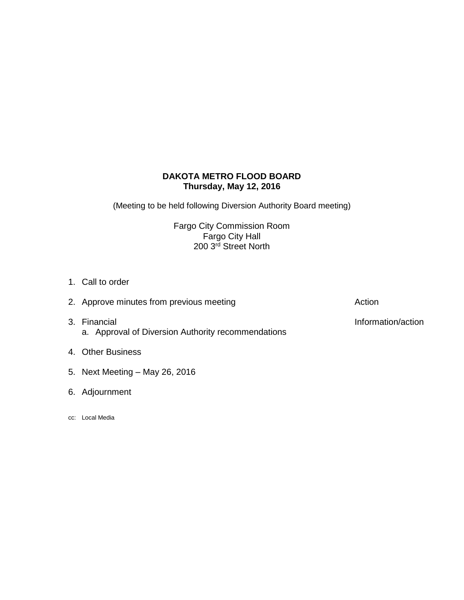# **DAKOTA METRO FLOOD BOARD Thursday, May 12, 2016**

(Meeting to be held following Diversion Authority Board meeting)

Fargo City Commission Room Fargo City Hall 200 3<sup>rd</sup> Street North

- 1. Call to order
- 3. Financial **Information/action** a. Approval of Diversion Authority recommendations
- 4. Other Business
- 5. Next Meeting May 26, 2016
- 6. Adjournment
- cc: Local Media

2. Approve minutes from previous meeting and action action Action